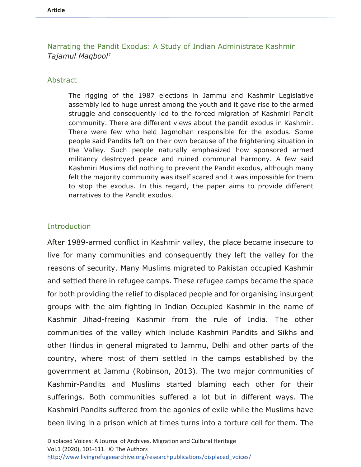# Narrating the Pandit Exodus: A Study of Indian Administrate Kashmir *Tajamul Maqbool1*

#### Abstract

The rigging of the 1987 elections in Jammu and Kashmir Legislative assembly led to huge unrest among the youth and it gave rise to the armed struggle and consequently led to the forced migration of Kashmiri Pandit community. There are different views about the pandit exodus in Kashmir. There were few who held Jagmohan responsible for the exodus. Some people said Pandits left on their own because of the frightening situation in the Valley. Such people naturally emphasized how sponsored armed militancy destroyed peace and ruined communal harmony. A few said Kashmiri Muslims did nothing to prevent the Pandit exodus, although many felt the majority community was itself scared and it was impossible for them to stop the exodus. In this regard, the paper aims to provide different narratives to the Pandit exodus.

#### **Introduction**

After 1989-armed conflict in Kashmir valley, the place became insecure to live for many communities and consequently they left the valley for the reasons of security. Many Muslims migrated to Pakistan occupied Kashmir and settled there in refugee camps. These refugee camps became the space for both providing the relief to displaced people and for organising insurgent groups with the aim fighting in Indian Occupied Kashmir in the name of Kashmir Jihad-freeing Kashmir from the rule of India. The other communities of the valley which include Kashmiri Pandits and Sikhs and other Hindus in general migrated to Jammu, Delhi and other parts of the country, where most of them settled in the camps established by the government at Jammu (Robinson, 2013). The two major communities of Kashmir-Pandits and Muslims started blaming each other for their sufferings. Both communities suffered a lot but in different ways. The Kashmiri Pandits suffered from the agonies of exile while the Muslims have been living in a prison which at times turns into a torture cell for them. The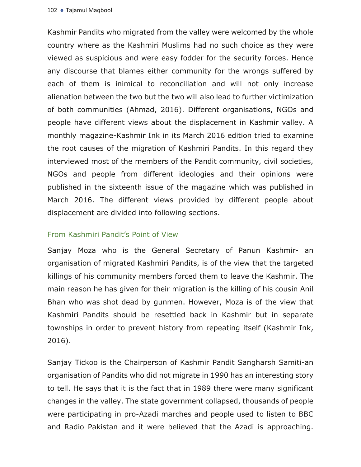Kashmir Pandits who migrated from the valley were welcomed by the whole country where as the Kashmiri Muslims had no such choice as they were viewed as suspicious and were easy fodder for the security forces. Hence any discourse that blames either community for the wrongs suffered by each of them is inimical to reconciliation and will not only increase alienation between the two but the two will also lead to further victimization of both communities (Ahmad, 2016). Different organisations, NGOs and people have different views about the displacement in Kashmir valley. A monthly magazine-Kashmir Ink in its March 2016 edition tried to examine the root causes of the migration of Kashmiri Pandits. In this regard they interviewed most of the members of the Pandit community, civil societies, NGOs and people from different ideologies and their opinions were published in the sixteenth issue of the magazine which was published in March 2016. The different views provided by different people about displacement are divided into following sections.

#### From Kashmiri Pandit's Point of View

Sanjay Moza who is the General Secretary of Panun Kashmir- an organisation of migrated Kashmiri Pandits, is of the view that the targeted killings of his community members forced them to leave the Kashmir. The main reason he has given for their migration is the killing of his cousin Anil Bhan who was shot dead by gunmen. However, Moza is of the view that Kashmiri Pandits should be resettled back in Kashmir but in separate townships in order to prevent history from repeating itself (Kashmir Ink, 2016).

Sanjay Tickoo is the Chairperson of Kashmir Pandit Sangharsh Samiti-an organisation of Pandits who did not migrate in 1990 has an interesting story to tell. He says that it is the fact that in 1989 there were many significant changes in the valley. The state government collapsed, thousands of people were participating in pro-Azadi marches and people used to listen to BBC and Radio Pakistan and it were believed that the Azadi is approaching.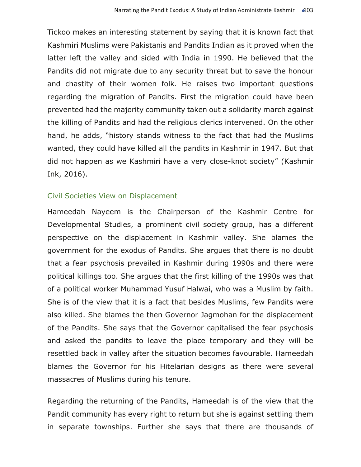Tickoo makes an interesting statement by saying that it is known fact that Kashmiri Muslims were Pakistanis and Pandits Indian as it proved when the latter left the valley and sided with India in 1990. He believed that the Pandits did not migrate due to any security threat but to save the honour and chastity of their women folk. He raises two important questions regarding the migration of Pandits. First the migration could have been prevented had the majority community taken out a solidarity march against the killing of Pandits and had the religious clerics intervened. On the other hand, he adds, "history stands witness to the fact that had the Muslims wanted, they could have killed all the pandits in Kashmir in 1947. But that did not happen as we Kashmiri have a very close-knot society" (Kashmir Ink, 2016).

#### Civil Societies View on Displacement

Hameedah Nayeem is the Chairperson of the Kashmir Centre for Developmental Studies, a prominent civil society group, has a different perspective on the displacement in Kashmir valley. She blames the government for the exodus of Pandits. She argues that there is no doubt that a fear psychosis prevailed in Kashmir during 1990s and there were political killings too. She argues that the first killing of the 1990s was that of a political worker Muhammad Yusuf Halwai, who was a Muslim by faith. She is of the view that it is a fact that besides Muslims, few Pandits were also killed. She blames the then Governor Jagmohan for the displacement of the Pandits. She says that the Governor capitalised the fear psychosis and asked the pandits to leave the place temporary and they will be resettled back in valley after the situation becomes favourable. Hameedah blames the Governor for his Hitelarian designs as there were several massacres of Muslims during his tenure.

Regarding the returning of the Pandits, Hameedah is of the view that the Pandit community has every right to return but she is against settling them in separate townships. Further she says that there are thousands of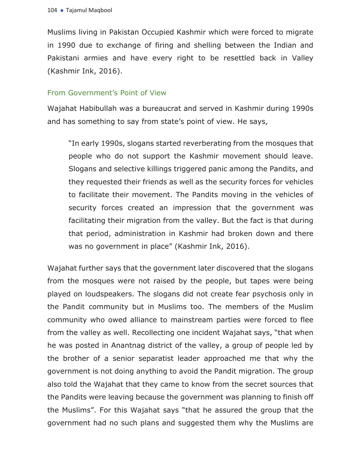Muslims living in Pakistan Occupied Kashmir which were forced to migrate in 1990 due to exchange of firing and shelling between the Indian and Pakistani armies and have every right to be resettled back in Valley (Kashmir Ink, 2016).

## From Government's Point of View

Wajahat Habibullah was a bureaucrat and served in Kashmir during 1990s and has something to say from state's point of view. He says,

"In early 1990s, slogans started reverberating from the mosques that people who do not support the Kashmir movement should leave. Slogans and selective killings triggered panic among the Pandits, and they requested their friends as well as the security forces for vehicles to facilitate their movement. The Pandits moving in the vehicles of security forces created an impression that the government was facilitating their migration from the valley. But the fact is that during that period, administration in Kashmir had broken down and there was no government in place" (Kashmir Ink, 2016).

Wajahat further says that the government later discovered that the slogans from the mosques were not raised by the people, but tapes were being played on loudspeakers. The slogans did not create fear psychosis only in the Pandit community but in Muslims too. The members of the Muslim community who owed alliance to mainstream parties were forced to flee from the valley as well. Recollecting one incident Wajahat says, "that when he was posted in Anantnag district of the valley, a group of people led by the brother of a senior separatist leader approached me that why the government is not doing anything to avoid the Pandit migration. The group also told the Wajahat that they came to know from the secret sources that the Pandits were leaving because the government was planning to finish off the Muslims". For this Wajahat says "that he assured the group that the government had no such plans and suggested them why the Muslims are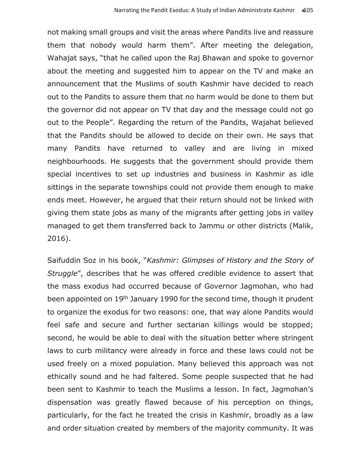not making small groups and visit the areas where Pandits live and reassure them that nobody would harm them". After meeting the delegation, Wahajat says, "that he called upon the Raj Bhawan and spoke to governor about the meeting and suggested him to appear on the TV and make an announcement that the Muslims of south Kashmir have decided to reach out to the Pandits to assure them that no harm would be done to them but the governor did not appear on TV that day and the message could not go out to the People". Regarding the return of the Pandits, Wajahat believed that the Pandits should be allowed to decide on their own. He says that many Pandits have returned to valley and are living in mixed neighbourhoods. He suggests that the government should provide them special incentives to set up industries and business in Kashmir as idle sittings in the separate townships could not provide them enough to make ends meet. However, he argued that their return should not be linked with giving them state jobs as many of the migrants after getting jobs in valley managed to get them transferred back to Jammu or other districts (Malik, 2016).

Saifuddin Soz in his book, "*Kashmir: Glimpses of History and the Story of Struggle*", describes that he was offered credible evidence to assert that the mass exodus had occurred because of Governor Jagmohan, who had been appointed on 19<sup>th</sup> January 1990 for the second time, though it prudent to organize the exodus for two reasons: one, that way alone Pandits would feel safe and secure and further sectarian killings would be stopped; second, he would be able to deal with the situation better where stringent laws to curb militancy were already in force and these laws could not be used freely on a mixed population. Many believed this approach was not ethically sound and he had faltered. Some people suspected that he had been sent to Kashmir to teach the Muslims a lesson. In fact, Jagmohan's dispensation was greatly flawed because of his perception on things, particularly, for the fact he treated the crisis in Kashmir, broadly as a law and order situation created by members of the majority community. It was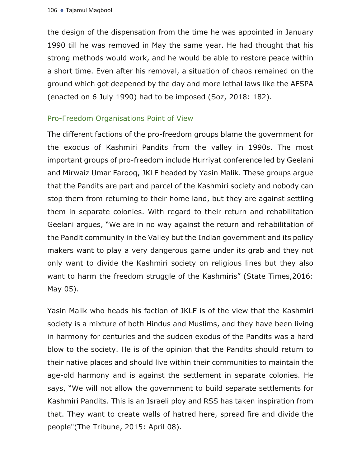the design of the dispensation from the time he was appointed in January 1990 till he was removed in May the same year. He had thought that his strong methods would work, and he would be able to restore peace within a short time. Even after his removal, a situation of chaos remained on the ground which got deepened by the day and more lethal laws like the AFSPA (enacted on 6 July 1990) had to be imposed (Soz, 2018: 182).

# Pro-Freedom Organisations Point of View

The different factions of the pro-freedom groups blame the government for the exodus of Kashmiri Pandits from the valley in 1990s. The most important groups of pro-freedom include Hurriyat conference led by Geelani and Mirwaiz Umar Farooq, JKLF headed by Yasin Malik. These groups argue that the Pandits are part and parcel of the Kashmiri society and nobody can stop them from returning to their home land, but they are against settling them in separate colonies. With regard to their return and rehabilitation Geelani argues, "We are in no way against the return and rehabilitation of the Pandit community in the Valley but the Indian government and its policy makers want to play a very dangerous game under its grab and they not only want to divide the Kashmiri society on religious lines but they also want to harm the freedom struggle of the Kashmiris" (State Times,2016: May 05).

Yasin Malik who heads his faction of JKLF is of the view that the Kashmiri society is a mixture of both Hindus and Muslims, and they have been living in harmony for centuries and the sudden exodus of the Pandits was a hard blow to the society. He is of the opinion that the Pandits should return to their native places and should live within their communities to maintain the age-old harmony and is against the settlement in separate colonies. He says, "We will not allow the government to build separate settlements for Kashmiri Pandits. This is an Israeli ploy and RSS has taken inspiration from that. They want to create walls of hatred here, spread fire and divide the people"(The Tribune, 2015: April 08).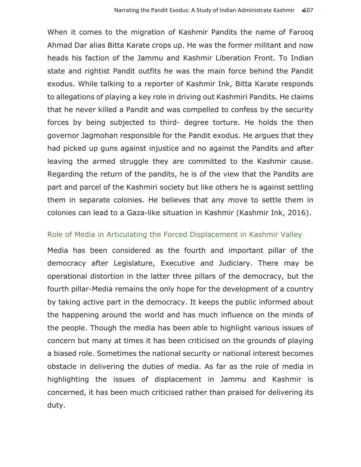When it comes to the migration of Kashmir Pandits the name of Farooq Ahmad Dar alias Bitta Karate crops up. He was the former militant and now heads his faction of the Jammu and Kashmir Liberation Front. To Indian state and rightist Pandit outfits he was the main force behind the Pandit exodus. While talking to a reporter of Kashmir Ink, Bitta Karate responds to allegations of playing a key role in driving out Kashmiri Pandits. He claims that he never killed a Pandit and was compelled to confess by the security forces by being subjected to third- degree torture. He holds the then governor Jagmohan responsible for the Pandit exodus. He argues that they had picked up guns against injustice and no against the Pandits and after leaving the armed struggle they are committed to the Kashmir cause. Regarding the return of the pandits, he is of the view that the Pandits are part and parcel of the Kashmiri society but like others he is against settling them in separate colonies. He believes that any move to settle them in colonies can lead to a Gaza-like situation in Kashmir (Kashmir Ink, 2016).

## Role of Media in Articulating the Forced Displacement in Kashmir Valley

Media has been considered as the fourth and important pillar of the democracy after Legislature, Executive and Judiciary. There may be operational distortion in the latter three pillars of the democracy, but the fourth pillar-Media remains the only hope for the development of a country by taking active part in the democracy. It keeps the public informed about the happening around the world and has much influence on the minds of the people. Though the media has been able to highlight various issues of concern but many at times it has been criticised on the grounds of playing a biased role. Sometimes the national security or national interest becomes obstacle in delivering the duties of media. As far as the role of media in highlighting the issues of displacement in Jammu and Kashmir is concerned, it has been much criticised rather than praised for delivering its duty.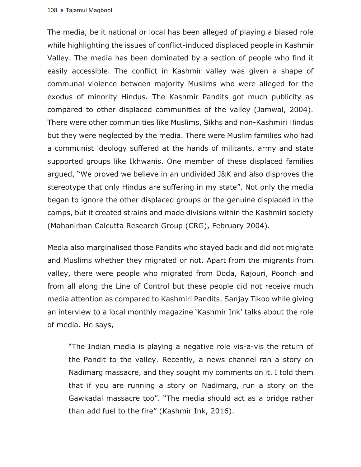The media, be it national or local has been alleged of playing a biased role while highlighting the issues of conflict-induced displaced people in Kashmir Valley. The media has been dominated by a section of people who find it easily accessible. The conflict in Kashmir valley was given a shape of communal violence between majority Muslims who were alleged for the exodus of minority Hindus. The Kashmir Pandits got much publicity as compared to other displaced communities of the valley (Jamwal, 2004). There were other communities like Muslims, Sikhs and non-Kashmiri Hindus but they were neglected by the media. There were Muslim families who had a communist ideology suffered at the hands of militants, army and state supported groups like Ikhwanis. One member of these displaced families argued, "We proved we believe in an undivided J&K and also disproves the stereotype that only Hindus are suffering in my state". Not only the media began to ignore the other displaced groups or the genuine displaced in the camps, but it created strains and made divisions within the Kashmiri society (Mahanirban Calcutta Research Group (CRG), February 2004).

Media also marginalised those Pandits who stayed back and did not migrate and Muslims whether they migrated or not. Apart from the migrants from valley, there were people who migrated from Doda, Rajouri, Poonch and from all along the Line of Control but these people did not receive much media attention as compared to Kashmiri Pandits. Sanjay Tikoo while giving an interview to a local monthly magazine 'Kashmir Ink' talks about the role of media. He says,

"The Indian media is playing a negative role vis-a-vis the return of the Pandit to the valley. Recently, a news channel ran a story on Nadimarg massacre, and they sought my comments on it. I told them that if you are running a story on Nadimarg, run a story on the Gawkadal massacre too". "The media should act as a bridge rather than add fuel to the fire" (Kashmir Ink, 2016).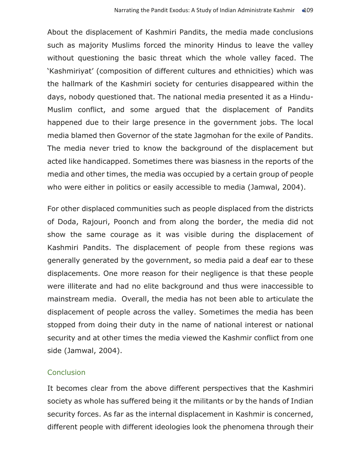About the displacement of Kashmiri Pandits, the media made conclusions such as majority Muslims forced the minority Hindus to leave the valley without questioning the basic threat which the whole valley faced. The 'Kashmiriyat' (composition of different cultures and ethnicities) which was the hallmark of the Kashmiri society for centuries disappeared within the days, nobody questioned that. The national media presented it as a Hindu-Muslim conflict, and some argued that the displacement of Pandits happened due to their large presence in the government jobs. The local media blamed then Governor of the state Jagmohan for the exile of Pandits. The media never tried to know the background of the displacement but acted like handicapped. Sometimes there was biasness in the reports of the media and other times, the media was occupied by a certain group of people who were either in politics or easily accessible to media (Jamwal, 2004).

For other displaced communities such as people displaced from the districts of Doda, Rajouri, Poonch and from along the border, the media did not show the same courage as it was visible during the displacement of Kashmiri Pandits. The displacement of people from these regions was generally generated by the government, so media paid a deaf ear to these displacements. One more reason for their negligence is that these people were illiterate and had no elite background and thus were inaccessible to mainstream media. Overall, the media has not been able to articulate the displacement of people across the valley. Sometimes the media has been stopped from doing their duty in the name of national interest or national security and at other times the media viewed the Kashmir conflict from one side (Jamwal, 2004).

# **Conclusion**

It becomes clear from the above different perspectives that the Kashmiri society as whole has suffered being it the militants or by the hands of Indian security forces. As far as the internal displacement in Kashmir is concerned, different people with different ideologies look the phenomena through their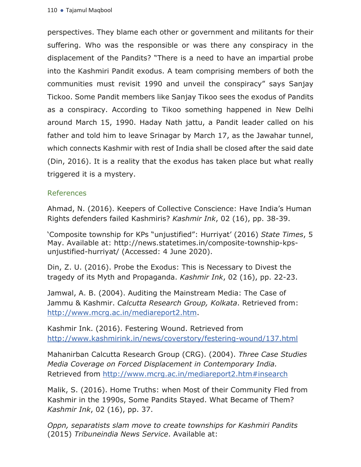perspectives. They blame each other or government and militants for their suffering. Who was the responsible or was there any conspiracy in the displacement of the Pandits? "There is a need to have an impartial probe into the Kashmiri Pandit exodus. A team comprising members of both the communities must revisit 1990 and unveil the conspiracy" says Sanjay Tickoo. Some Pandit members like Sanjay Tikoo sees the exodus of Pandits as a conspiracy. According to Tikoo something happened in New Delhi around March 15, 1990. Haday Nath jattu, a Pandit leader called on his father and told him to leave Srinagar by March 17, as the Jawahar tunnel, which connects Kashmir with rest of India shall be closed after the said date (Din, 2016). It is a reality that the exodus has taken place but what really triggered it is a mystery.

## References

Ahmad, N. (2016). Keepers of Collective Conscience: Have India's Human Rights defenders failed Kashmiris? *Kashmir Ink*, 02 (16), pp. 38-39.

'Composite township for KPs "unjustified": Hurriyat' (2016) *State Times*, 5 May. Available at: http://news.statetimes.in/composite-township-kpsunjustified-hurriyat/ (Accessed: 4 June 2020).

Din, Z. U. (2016). Probe the Exodus: This is Necessary to Divest the tragedy of its Myth and Propaganda. *Kashmir Ink*, 02 (16), pp. 22-23.

Jamwal, A. B. (2004). Auditing the Mainstream Media: The Case of Jammu & Kashmir. *Calcutta Research Group, Kolkata*. Retrieved from: http://www.mcrg.ac.in/mediareport2.htm.

Kashmir Ink. (2016). Festering Wound. Retrieved from http://www.kashmirink.in/news/coverstory/festering-wound/137.html

Mahanirban Calcutta Research Group (CRG). (2004). *Three Case Studies Media Coverage on Forced Displacement in Contemporary India.*  Retrieved from http://www.mcrg.ac.in/mediareport2.htm#insearch

Malik, S. (2016). Home Truths: when Most of their Community Fled from Kashmir in the 1990s, Some Pandits Stayed. What Became of Them? *Kashmir Ink*, 02 (16), pp. 37.

*Oppn, separatists slam move to create townships for Kashmiri Pandits* (2015) *Tribuneindia News Service*. Available at: